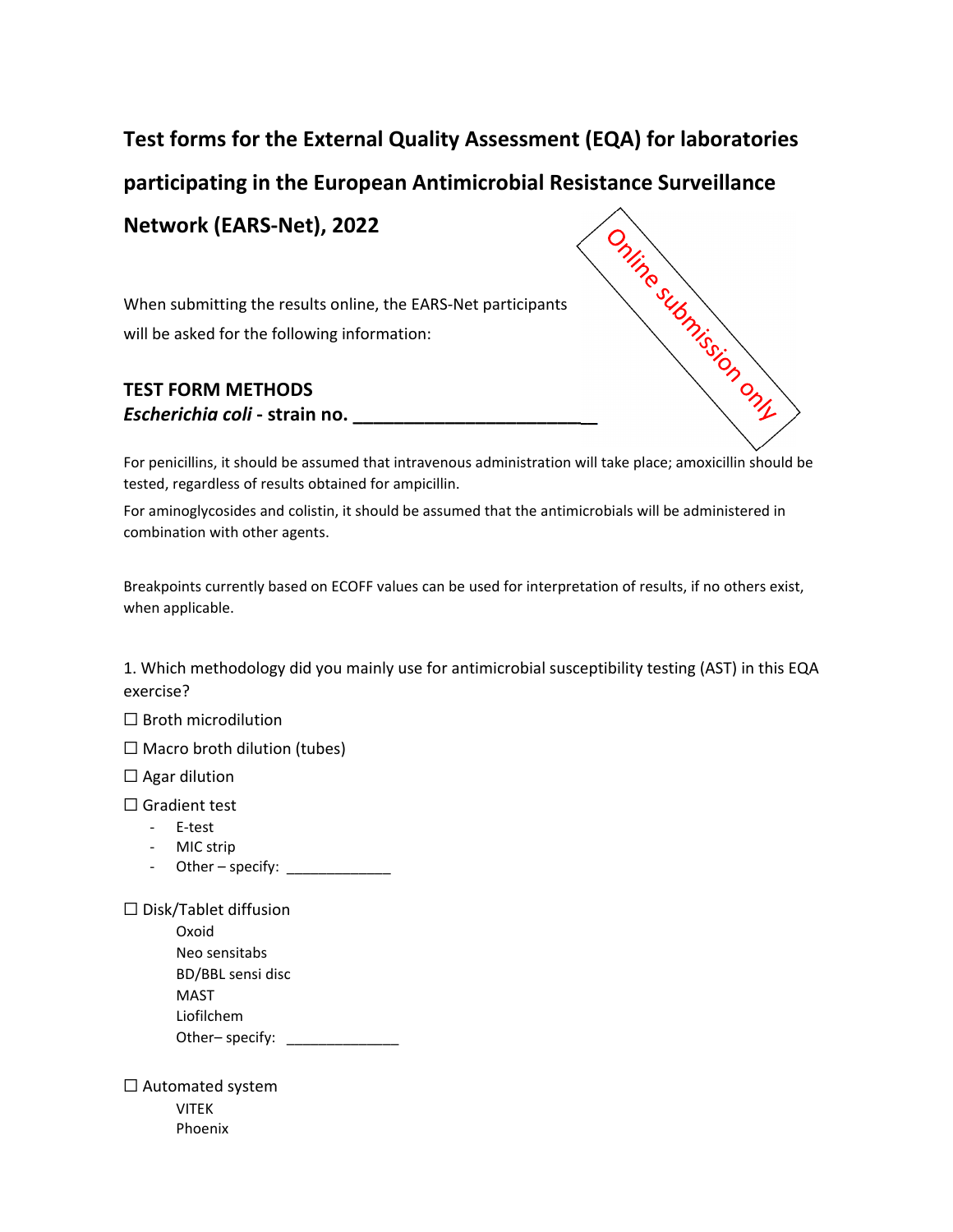## **Test forms for the External Quality Assessment (EQA) for laboratories**

**Network (EARS‐Net), 2022**

When submitting the results online, the EARS‐Net participants will be asked for the following information:

## **TEST FORM METHODS** *Escherichia coli* **‐ strain no. \_\_\_\_\_\_\_\_\_\_\_\_\_\_\_\_\_\_\_\_\_\_\_\_**



For penicillins, it should be assumed that intravenous administration will take place; amoxicillin should be tested, regardless of results obtained for ampicillin.

For aminoglycosides and colistin, it should be assumed that the antimicrobials will be administered in combination with other agents.

Breakpoints currently based on ECOFF values can be used for interpretation of results, if no others exist, when applicable.

1. Which methodology did you mainly use for antimicrobial susceptibility testing (AST) in this EQA exercise?

☐ Broth microdilution

 $\Box$  Macro broth dilution (tubes)

 $\Box$  Agar dilution

□ Gradient test

- ‐ E‐test
- ‐ MIC strip
- Other specify: \_\_\_\_\_\_\_\_\_\_\_\_

☐ Disk/Tablet diffusion

| Oxoid             |  |
|-------------------|--|
| Neo sensitabs     |  |
| BD/BBL sensi disc |  |
| MAST              |  |
| Liofilchem        |  |
| Other-specify:    |  |

☐ Automated system VITEK Phoenix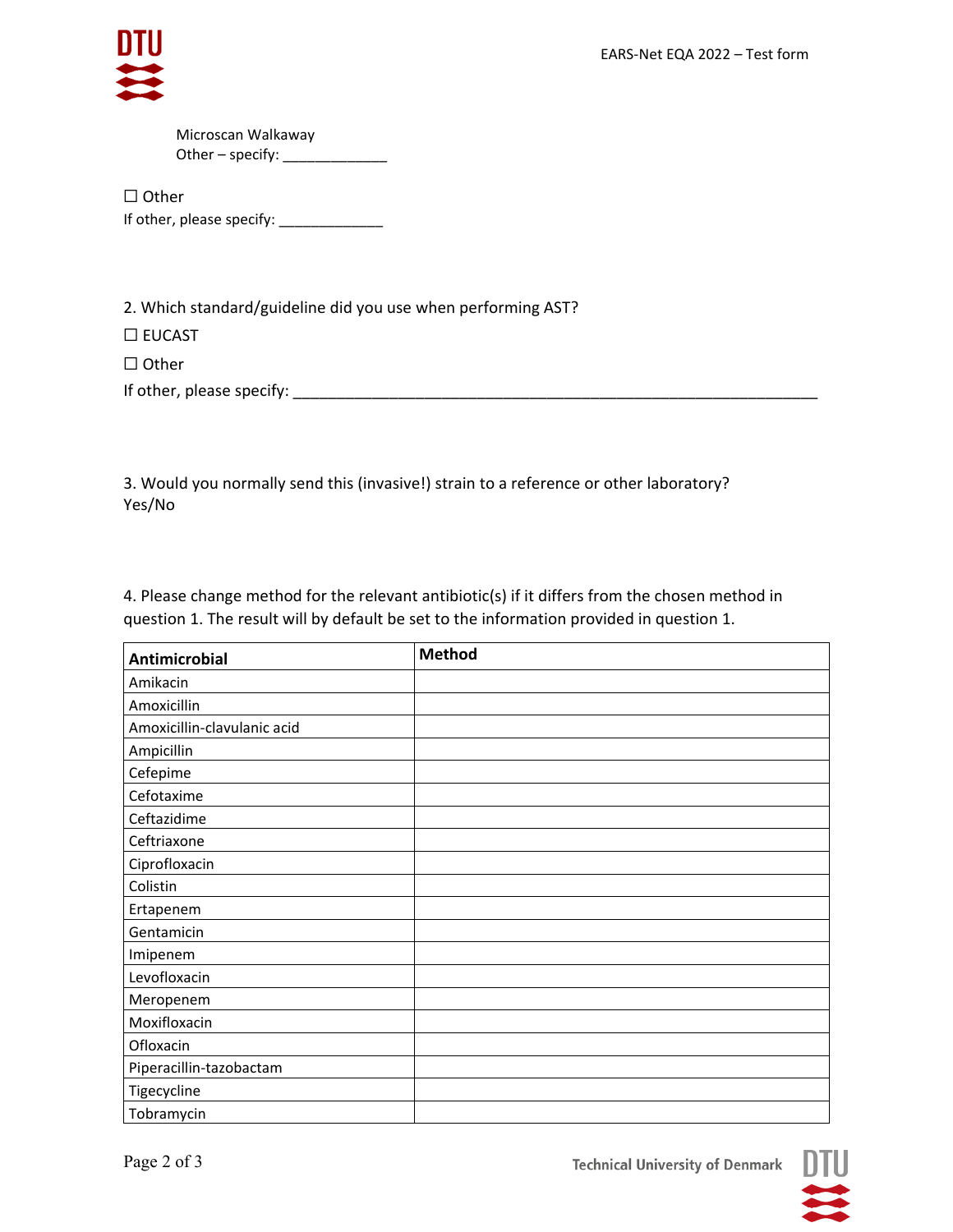

Microscan Walkaway Other – specify:  $\frac{1}{2}$ 

☐ Other If other, please specify: \_\_\_\_\_\_\_\_\_\_\_\_\_\_\_\_

2. Which standard/guideline did you use when performing AST?

☐ EUCAST

☐ Other

If other, please specify: \_\_\_\_\_\_\_\_\_\_\_\_\_\_\_\_\_\_\_\_\_\_\_\_\_\_\_\_\_\_\_\_\_\_\_\_\_\_\_\_\_\_\_\_\_\_\_\_\_\_\_\_\_\_\_\_\_\_\_\_

3. Would you normally send this (invasive!) strain to a reference or other laboratory? Yes/No

4. Please change method for the relevant antibiotic(s) if it differs from the chosen method in question 1. The result will by default be set to the information provided in question 1.

| <b>Antimicrobial</b>        | <b>Method</b> |
|-----------------------------|---------------|
| Amikacin                    |               |
| Amoxicillin                 |               |
| Amoxicillin-clavulanic acid |               |
| Ampicillin                  |               |
| Cefepime                    |               |
| Cefotaxime                  |               |
| Ceftazidime                 |               |
| Ceftriaxone                 |               |
| Ciprofloxacin               |               |
| Colistin                    |               |
| Ertapenem                   |               |
| Gentamicin                  |               |
| Imipenem                    |               |
| Levofloxacin                |               |
| Meropenem                   |               |
| Moxifloxacin                |               |
| Ofloxacin                   |               |
| Piperacillin-tazobactam     |               |
| Tigecycline                 |               |
| Tobramycin                  |               |